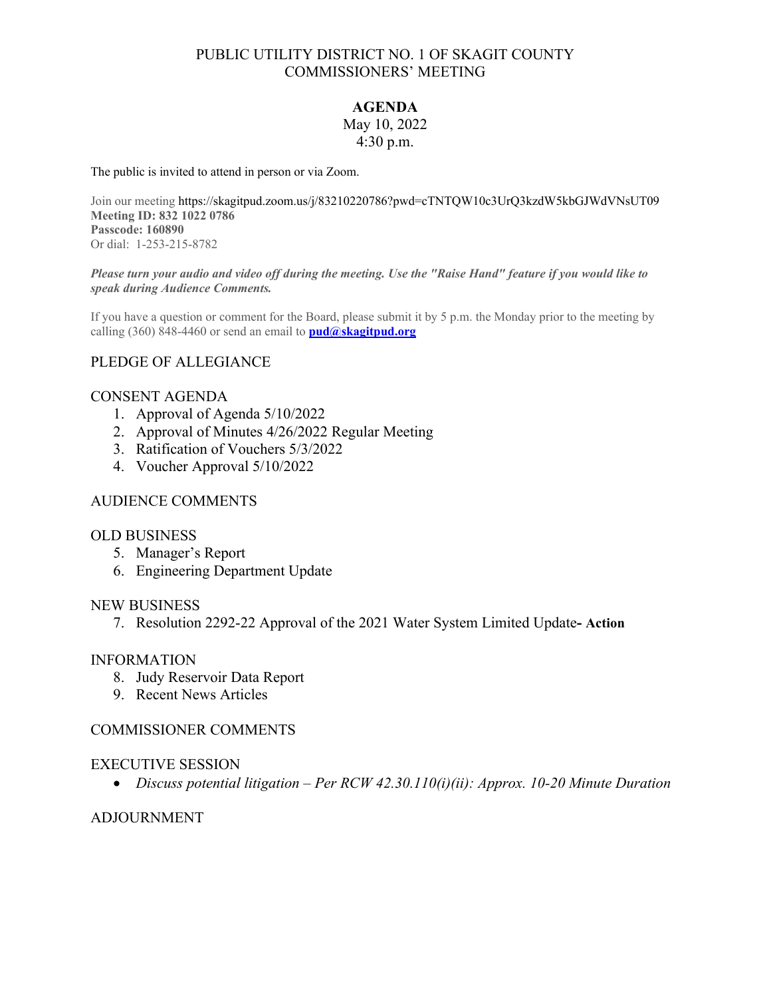# PUBLIC UTILITY DISTRICT NO. 1 OF SKAGIT COUNTY COMMISSIONERS' MEETING

# **AGENDA**

#### May 10, 2022 4:30 p.m.

The public is invited to attend in person or via Zoom.

Join our meeting https://skagitpud.zoom.us/j/83210220786?pwd=cTNTQW10c3UrQ3kzdW5kbGJWdVNsUT09 **Meeting ID: 832 1022 0786 Passcode: 160890** Or dial: 1-253-215-8782

#### *Please turn your audio and video off during the meeting. Use the "Raise Hand" feature if you would like to speak during Audience Comments.*

If you have a question or comment for the Board, please submit it by 5 p.m. the Monday prior to the meeting by calling (360) 848-4460 or send an email to **[pud@skagitpud.org](mailto:pud@skagitpud.org)**

# PLEDGE OF ALLEGIANCE

#### CONSENT AGENDA

- 1. Approval of Agenda 5/10/2022
- 2. Approval of Minutes 4/26/2022 Regular Meeting
- 3. Ratification of Vouchers 5/3/2022
- 4. Voucher Approval 5/10/2022

#### AUDIENCE COMMENTS

#### OLD BUSINESS

- 5. Manager's Report
- 6. Engineering Department Update

#### NEW BUSINESS

7. Resolution 2292-22 Approval of the 2021 Water System Limited Update**- Action**

#### INFORMATION

- 8. Judy Reservoir Data Report
- 9. Recent News Articles

#### COMMISSIONER COMMENTS

#### EXECUTIVE SESSION

• *Discuss potential litigation – Per RCW 42.30.110(i)(ii): Approx. 10-20 Minute Duration* 

### ADJOURNMENT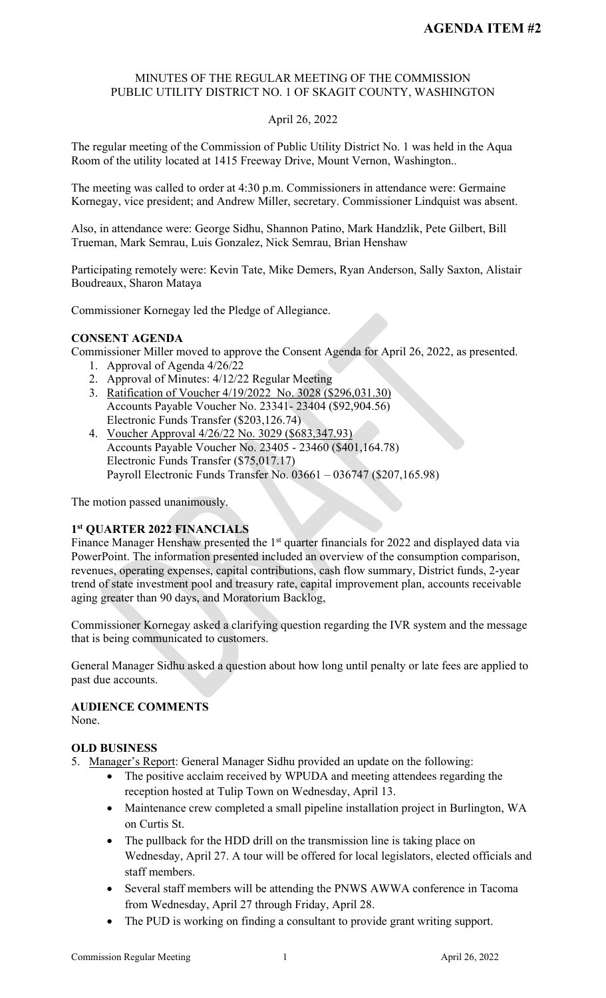# MINUTES OF THE REGULAR MEETING OF THE COMMISSION PUBLIC UTILITY DISTRICT NO. 1 OF SKAGIT COUNTY, WASHINGTON

# April 26, 2022

The regular meeting of the Commission of Public Utility District No. 1 was held in the Aqua Room of the utility located at 1415 Freeway Drive, Mount Vernon, Washington..

The meeting was called to order at 4:30 p.m. Commissioners in attendance were: Germaine Kornegay, vice president; and Andrew Miller, secretary. Commissioner Lindquist was absent.

Also, in attendance were: George Sidhu, Shannon Patino, Mark Handzlik, Pete Gilbert, Bill Trueman, Mark Semrau, Luis Gonzalez, Nick Semrau, Brian Henshaw

Participating remotely were: Kevin Tate, Mike Demers, Ryan Anderson, Sally Saxton, Alistair Boudreaux, Sharon Mataya

Commissioner Kornegay led the Pledge of Allegiance.

## **CONSENT AGENDA**

Commissioner Miller moved to approve the Consent Agenda for April 26, 2022, as presented.

- 1. Approval of Agenda 4/26/22
- 2. Approval of Minutes: 4/12/22 Regular Meeting
- 3. Ratification of Voucher 4/19/2022 No. 3028 (\$296,031.30) Accounts Payable Voucher No. 23341- 23404 (\$92,904.56) Electronic Funds Transfer (\$203,126.74)
- 4. Voucher Approval 4/26/22 No. 3029 (\$683,347.93) Accounts Payable Voucher No. 23405 - 23460 (\$401,164.78) Electronic Funds Transfer (\$75,017.17) Payroll Electronic Funds Transfer No. 03661 – 036747 (\$207,165.98)

The motion passed unanimously.

# **1st QUARTER 2022 FINANCIALS**

Finance Manager Henshaw presented the  $1<sup>st</sup>$  quarter financials for 2022 and displayed data via PowerPoint. The information presented included an overview of the consumption comparison, revenues, operating expenses, capital contributions, cash flow summary, District funds, 2-year trend of state investment pool and treasury rate, capital improvement plan, accounts receivable aging greater than 90 days, and Moratorium Backlog,

Commissioner Kornegay asked a clarifying question regarding the IVR system and the message that is being communicated to customers.

General Manager Sidhu asked a question about how long until penalty or late fees are applied to past due accounts.

# **AUDIENCE COMMENTS**

None.

# **OLD BUSINESS**

- 5. Manager's Report: General Manager Sidhu provided an update on the following:
	- The positive acclaim received by WPUDA and meeting attendees regarding the reception hosted at Tulip Town on Wednesday, April 13.
	- Maintenance crew completed a small pipeline installation project in Burlington, WA on Curtis St.
	- The pullback for the HDD drill on the transmission line is taking place on Wednesday, April 27. A tour will be offered for local legislators, elected officials and staff members.
	- Several staff members will be attending the PNWS AWWA conference in Tacoma from Wednesday, April 27 through Friday, April 28.
	- The PUD is working on finding a consultant to provide grant writing support.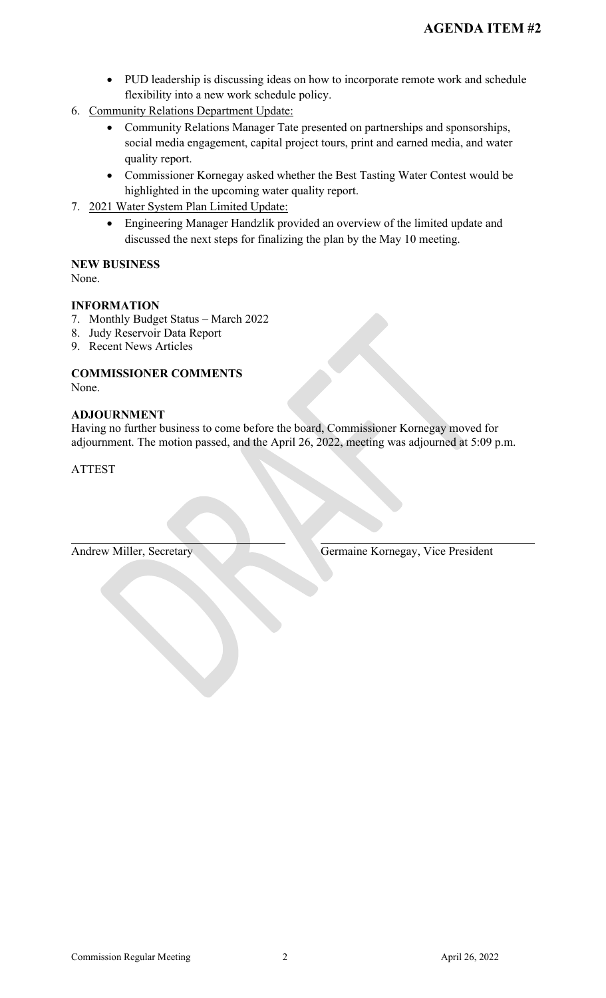- PUD leadership is discussing ideas on how to incorporate remote work and schedule flexibility into a new work schedule policy.
- 6. Community Relations Department Update:
	- Community Relations Manager Tate presented on partnerships and sponsorships, social media engagement, capital project tours, print and earned media, and water quality report.
	- Commissioner Kornegay asked whether the Best Tasting Water Contest would be highlighted in the upcoming water quality report.
- 7. 2021 Water System Plan Limited Update:
	- Engineering Manager Handzlik provided an overview of the limited update and discussed the next steps for finalizing the plan by the May 10 meeting.

#### **NEW BUSINESS** None.

# **INFORMATION**

- 7. Monthly Budget Status March 2022
- 8. Judy Reservoir Data Report
- 9. Recent News Articles

# **COMMISSIONER COMMENTS** None.

# **ADJOURNMENT**

Having no further business to come before the board, Commissioner Kornegay moved for adjournment. The motion passed, and the April 26, 2022, meeting was adjourned at 5:09 p.m.

ATTEST

Andrew Miller, Secretary Germaine Kornegay, Vice President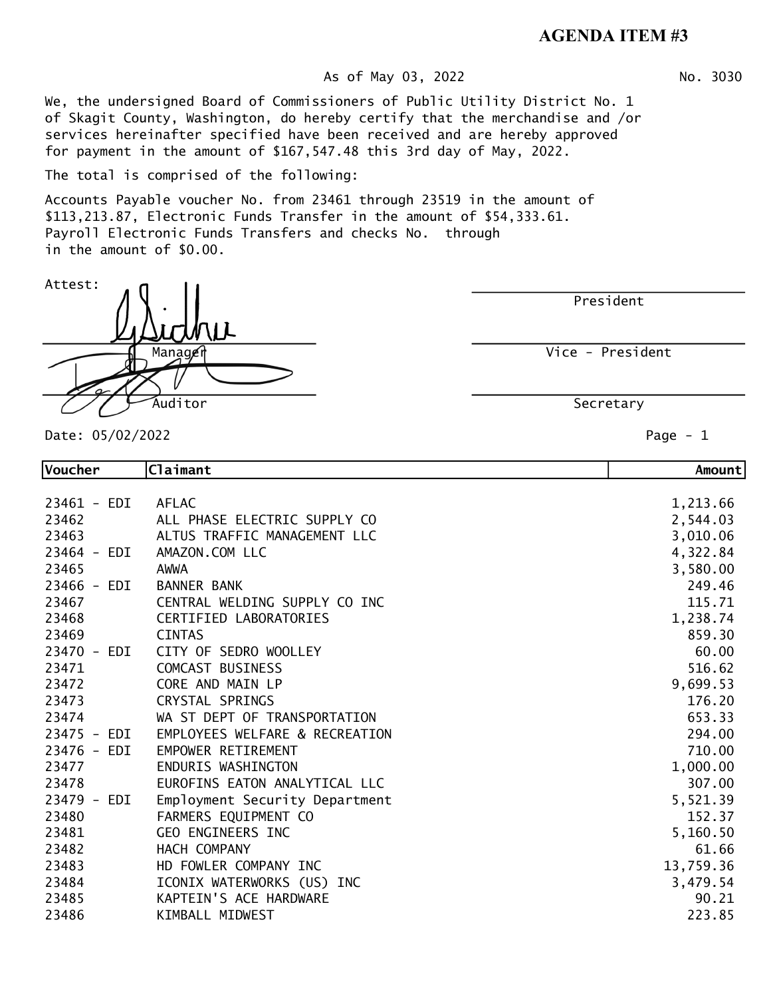# **AGENDA ITEM #3**

#### As of May 03, 2022 No. 3030

We, the undersigned Board of Commissioners of Public Utility District No. 1 of Skagit County, Washington, do hereby certify that the merchandise and /or services hereinafter specified have been received and are hereby approved for payment in the amount of \$167,547.48 this 3rd day of May, 2022.

The total is comprised of the following:

Accounts Payable voucher No. from 23461 through 23519 in the amount of \$113,213.87, Electronic Funds Transfer in the amount of \$54,333.61. Payroll Electronic Funds Transfers and checks No. through in the amount of \$0.00.

President

Vice - President

Secretary

Date: 05/02/2022 Page - 1

Attest:

| Voucher     | Claimant                       | Amount    |
|-------------|--------------------------------|-----------|
|             |                                |           |
| 23461 - EDI | <b>AFLAC</b>                   | 1,213.66  |
| 23462       | ALL PHASE ELECTRIC SUPPLY CO   | 2,544.03  |
| 23463       | ALTUS TRAFFIC MANAGEMENT LLC   | 3,010.06  |
| 23464 - EDI | AMAZON.COM LLC                 | 4,322.84  |
| 23465       | AWWA                           | 3,580.00  |
| 23466 - EDI | <b>BANNER BANK</b>             | 249.46    |
| 23467       | CENTRAL WELDING SUPPLY CO INC  | 115.71    |
| 23468       | <b>CERTIFIED LABORATORIES</b>  | 1,238.74  |
| 23469       | <b>CINTAS</b>                  | 859.30    |
| 23470 - EDI | CITY OF SEDRO WOOLLEY          | 60.00     |
| 23471       | COMCAST BUSINESS               | 516.62    |
| 23472       | CORE AND MAIN LP               | 9,699.53  |
| 23473       | CRYSTAL SPRINGS                | 176.20    |
| 23474       | WA ST DEPT OF TRANSPORTATION   | 653.33    |
| 23475 - EDI | EMPLOYEES WELFARE & RECREATION | 294.00    |
| 23476 - EDI | EMPOWER RETIREMENT             | 710.00    |
| 23477       | ENDURIS WASHINGTON             | 1,000.00  |
| 23478       | EUROFINS EATON ANALYTICAL LLC  | 307.00    |
| 23479 - EDI | Employment Security Department | 5,521.39  |
| 23480       | FARMERS EQUIPMENT CO           | 152.37    |
| 23481       | GEO ENGINEERS INC              | 5,160.50  |
| 23482       | HACH COMPANY                   | 61.66     |
| 23483       | HD FOWLER COMPANY INC          | 13,759.36 |
| 23484       | ICONIX WATERWORKS (US) INC     | 3,479.54  |
| 23485       | KAPTEIN'S ACE HARDWARE         | 90.21     |
| 23486       | KIMBALL MIDWEST                | 223.85    |

Manager Auditor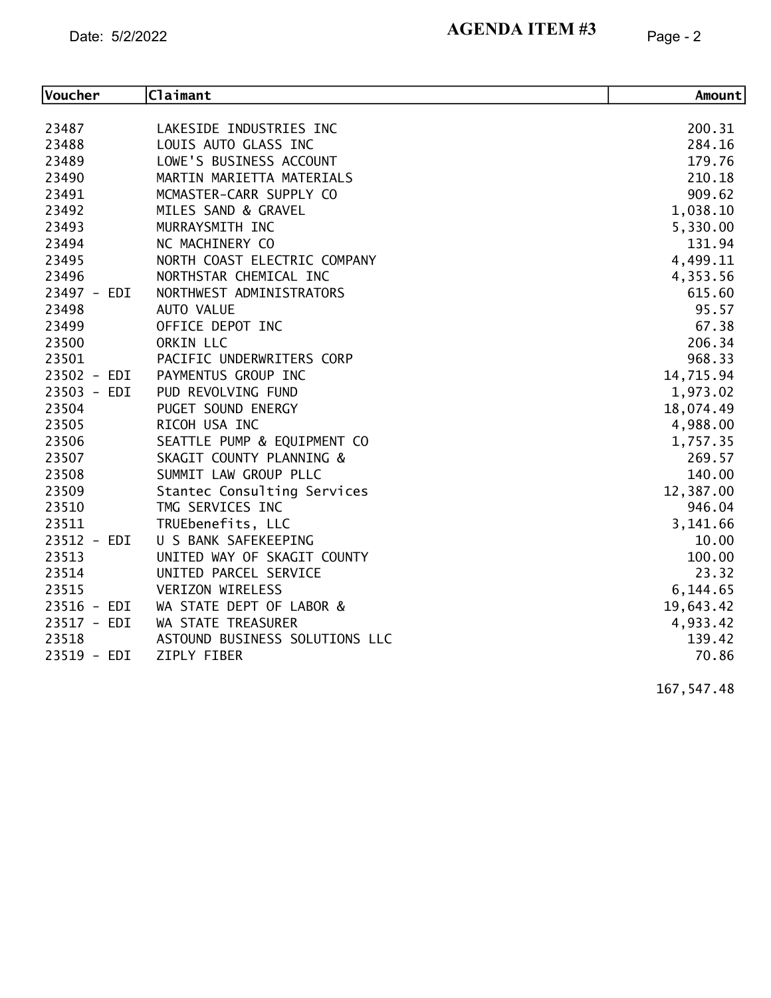#### Date:  $5/2/2022$  Page - 2 **AGENDA ITEM #3**

| Voucher     | Claimant                       | Amount    |
|-------------|--------------------------------|-----------|
|             |                                |           |
| 23487       | LAKESIDE INDUSTRIES INC        | 200.31    |
| 23488       | LOUIS AUTO GLASS INC           | 284.16    |
| 23489       | LOWE'S BUSINESS ACCOUNT        | 179.76    |
| 23490       | MARTIN MARIETTA MATERIALS      | 210.18    |
| 23491       | MCMASTER-CARR SUPPLY CO        | 909.62    |
| 23492       | MILES SAND & GRAVEL            | 1,038.10  |
| 23493       | MURRAYSMITH INC                | 5,330.00  |
| 23494       | NC MACHINERY CO                | 131.94    |
| 23495       | NORTH COAST ELECTRIC COMPANY   | 4,499.11  |
| 23496       | NORTHSTAR CHEMICAL INC         | 4,353.56  |
| 23497 - EDI | NORTHWEST ADMINISTRATORS       | 615.60    |
| 23498       | AUTO VALUE                     | 95.57     |
| 23499       | OFFICE DEPOT INC               | 67.38     |
| 23500       | ORKIN LLC                      | 206.34    |
| 23501       | PACIFIC UNDERWRITERS CORP      | 968.33    |
| 23502 - EDI | PAYMENTUS GROUP INC            | 14,715.94 |
| 23503 - EDI | PUD REVOLVING FUND             | 1,973.02  |
| 23504       | PUGET SOUND ENERGY             | 18,074.49 |
| 23505       | RICOH USA INC                  | 4,988.00  |
| 23506       | SEATTLE PUMP & EQUIPMENT CO    | 1,757.35  |
| 23507       | SKAGIT COUNTY PLANNING &       | 269.57    |
| 23508       | SUMMIT LAW GROUP PLLC          | 140.00    |
| 23509       | Stantec Consulting Services    | 12,387.00 |
| 23510       | TMG SERVICES INC               | 946.04    |
| 23511       | TRUEbenefits, LLC              | 3,141.66  |
| 23512 - EDI | U S BANK SAFEKEEPING           | 10.00     |
| 23513       | UNITED WAY OF SKAGIT COUNTY    | 100.00    |
| 23514       | UNITED PARCEL SERVICE          | 23.32     |
| 23515       | VERIZON WIRELESS               | 6,144.65  |
| 23516 - EDI | WA STATE DEPT OF LABOR &       | 19,643.42 |
| 23517 - EDI | WA STATE TREASURER             | 4,933.42  |
| 23518       | ASTOUND BUSINESS SOLUTIONS LLC | 139.42    |
| 23519 - EDI | ZIPLY FIBER                    | 70.86     |

167,547.48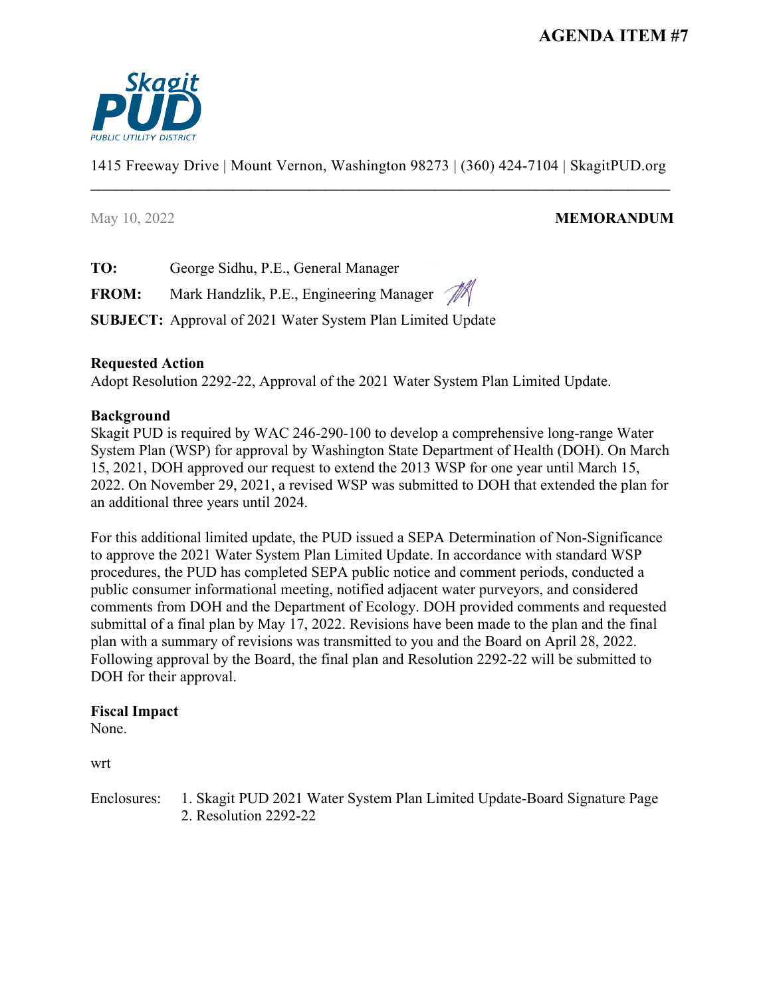

1415 Freeway Drive | Mount Vernon, Washington 98273 | (360) 424-7104 | SkagitPUD.org \_\_\_\_\_\_\_\_\_\_\_\_\_\_\_\_\_\_\_\_\_\_\_\_\_\_\_\_\_\_\_\_\_\_\_\_\_\_\_\_\_\_\_\_\_\_\_\_\_\_\_\_\_\_\_\_\_\_\_\_\_\_\_\_\_\_\_\_\_

# May 10, 2022 **MEMORANDUM**

**TO:** George Sidhu, P.E., General Manager

FROM: Mark Handzlik, P.E., Engineering Manager

**SUBJECT:** Approval of 2021 Water System Plan Limited Update

# **Requested Action**

Adopt Resolution 2292-22, Approval of the 2021 Water System Plan Limited Update.

# **Background**

Skagit PUD is required by WAC 246-290-100 to develop a comprehensive long-range Water System Plan (WSP) for approval by Washington State Department of Health (DOH). On March 15, 2021, DOH approved our request to extend the 2013 WSP for one year until March 15, 2022. On November 29, 2021, a revised WSP was submitted to DOH that extended the plan for an additional three years until 2024.

For this additional limited update, the PUD issued a SEPA Determination of Non-Significance to approve the 2021 Water System Plan Limited Update. In accordance with standard WSP procedures, the PUD has completed SEPA public notice and comment periods, conducted a public consumer informational meeting, notified adjacent water purveyors, and considered comments from DOH and the Department of Ecology. DOH provided comments and requested submittal of a final plan by May 17, 2022. Revisions have been made to the plan and the final plan with a summary of revisions was transmitted to you and the Board on April 28, 2022. Following approval by the Board, the final plan and Resolution 2292-22 will be submitted to DOH for their approval.

### **Fiscal Impact**

None.

wrt

Enclosures: 1. Skagit PUD 2021 Water System Plan Limited Update-Board Signature Page 2. Resolution 2292-22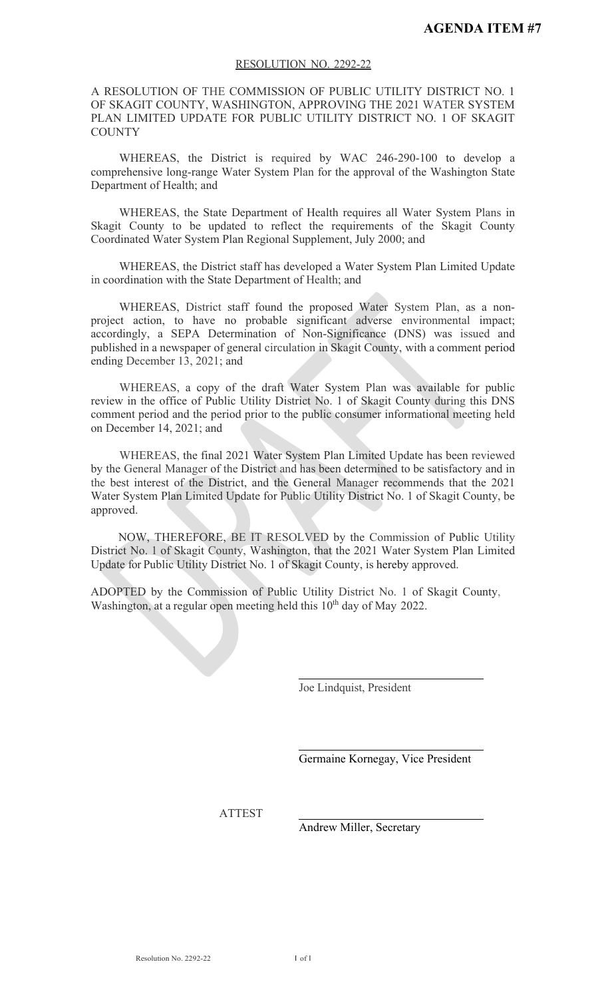#### RESOLUTION NO. 2292-22

A RESOLUTION OF THE COMMISSION OF PUBLIC UTILITY DISTRICT NO. 1 OF SKAGIT COUNTY, WASHINGTON, APPROVING THE 2021 WATER SYSTEM PLAN LIMITED UPDATE FOR PUBLIC UTILITY DISTRICT NO. 1 OF SKAGIT **COUNTY** 

WHEREAS, the District is required by WAC 246-290-100 to develop a comprehensive long-range Water System Plan for the approval of the Washington State Department of Health; and

WHEREAS, the State Department of Health requires all Water System Plans in Skagit County to be updated to reflect the requirements of the Skagit County Coordinated Water System Plan Regional Supplement, July 2000; and

WHEREAS, the District staff has developed a Water System Plan Limited Update in coordination with the State Department of Health; and

WHEREAS, District staff found the proposed Water System Plan, as a nonproject action, to have no probable significant adverse environmental impact; accordingly, a SEPA Determination of Non-Significance (DNS) was issued and published in a newspaper of general circulation in Skagit County, with a comment period ending December 13, 2021; and

WHEREAS, a copy of the draft Water System Plan was available for public review in the office of Public Utility District No. 1 of Skagit County during this DNS comment period and the period prior to the public consumer informational meeting held on December 14, 2021; and

WHEREAS, the final 2021 Water System Plan Limited Update has been reviewed by the General Manager of the District and has been determined to be satisfactory and in the best interest of the District, and the General Manager recommends that the 2021 Water System Plan Limited Update for Public Utility District No. 1 of Skagit County, be approved.

NOW, THEREFORE, BE IT RESOLVED by the Commission of Public Utility District No. 1 of Skagit County, Washington, that the 2021 Water System Plan Limited Update for Public Utility District No. 1 of Skagit County, is hereby approved.

ADOPTED by the Commission of Public Utility District No. 1 of Skagit County, Washington, at a regular open meeting held this  $10<sup>th</sup>$  day of May 2022.

Joe Lindquist, President

Germaine Kornegay, Vice President

ATTEST

Andrew Miller, Secretary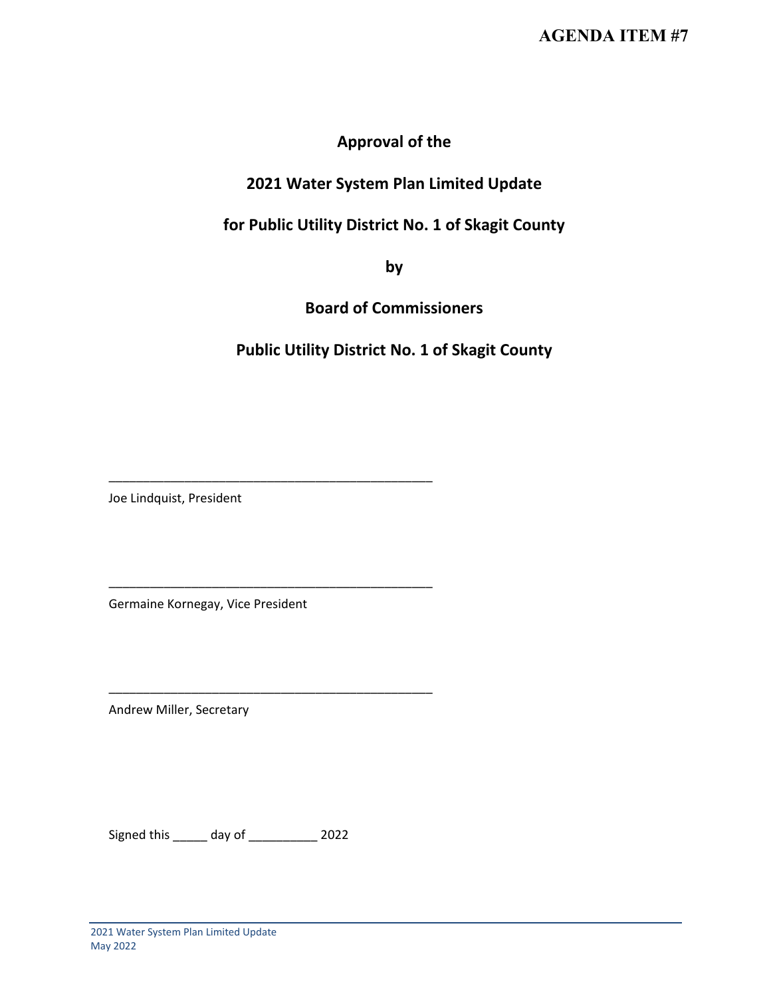# **Approval of the**

# **2021 Water System Plan Limited Update**

# **for Public Utility District No. 1 of Skagit County**

**by** 

**Board of Commissioners**

**Public Utility District No. 1 of Skagit County**

Joe Lindquist, President

Germaine Kornegay, Vice President

\_\_\_\_\_\_\_\_\_\_\_\_\_\_\_\_\_\_\_\_\_\_\_\_\_\_\_\_\_\_\_\_\_\_\_\_\_\_\_\_\_\_\_\_\_\_\_

\_\_\_\_\_\_\_\_\_\_\_\_\_\_\_\_\_\_\_\_\_\_\_\_\_\_\_\_\_\_\_\_\_\_\_\_\_\_\_\_\_\_\_\_\_\_\_

\_\_\_\_\_\_\_\_\_\_\_\_\_\_\_\_\_\_\_\_\_\_\_\_\_\_\_\_\_\_\_\_\_\_\_\_\_\_\_\_\_\_\_\_\_\_\_

Andrew Miller, Secretary

Signed this \_\_\_\_\_ day of \_\_\_\_\_\_\_\_\_\_ 2022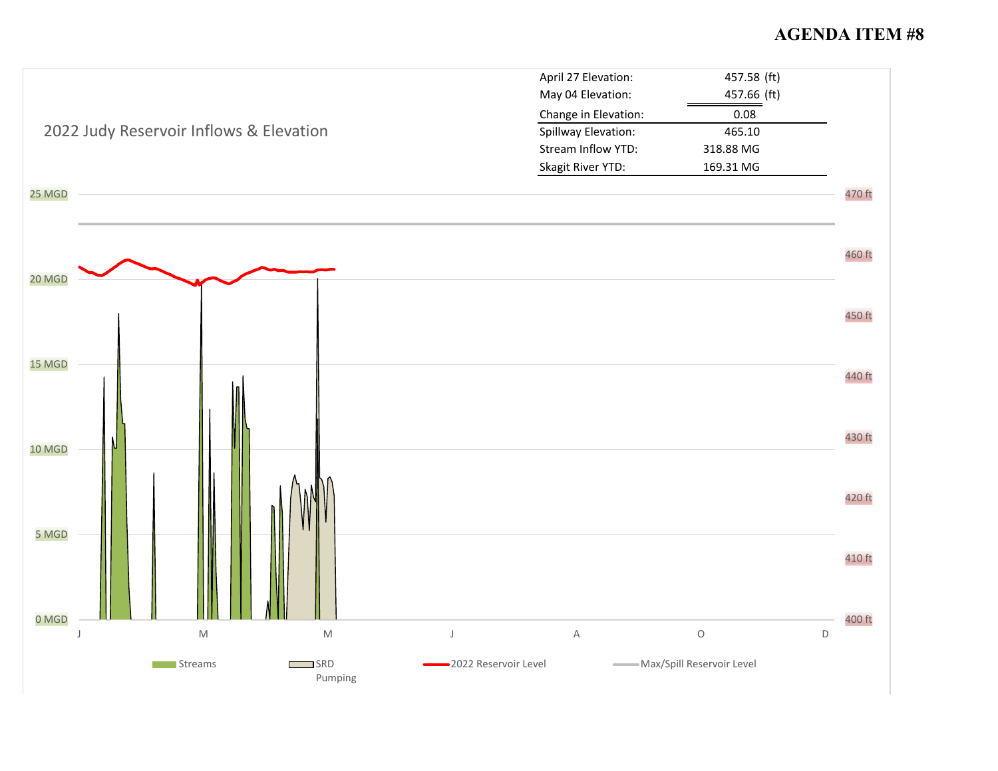# **AGENDA ITEM #8**

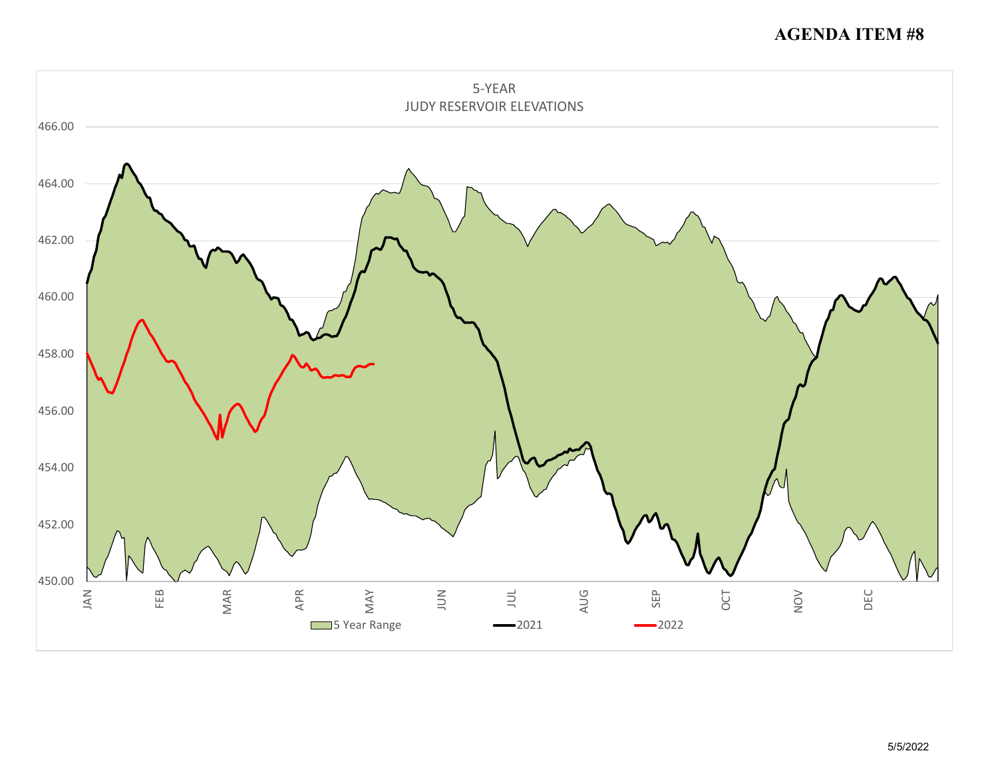# **AGENDA ITEM #8**

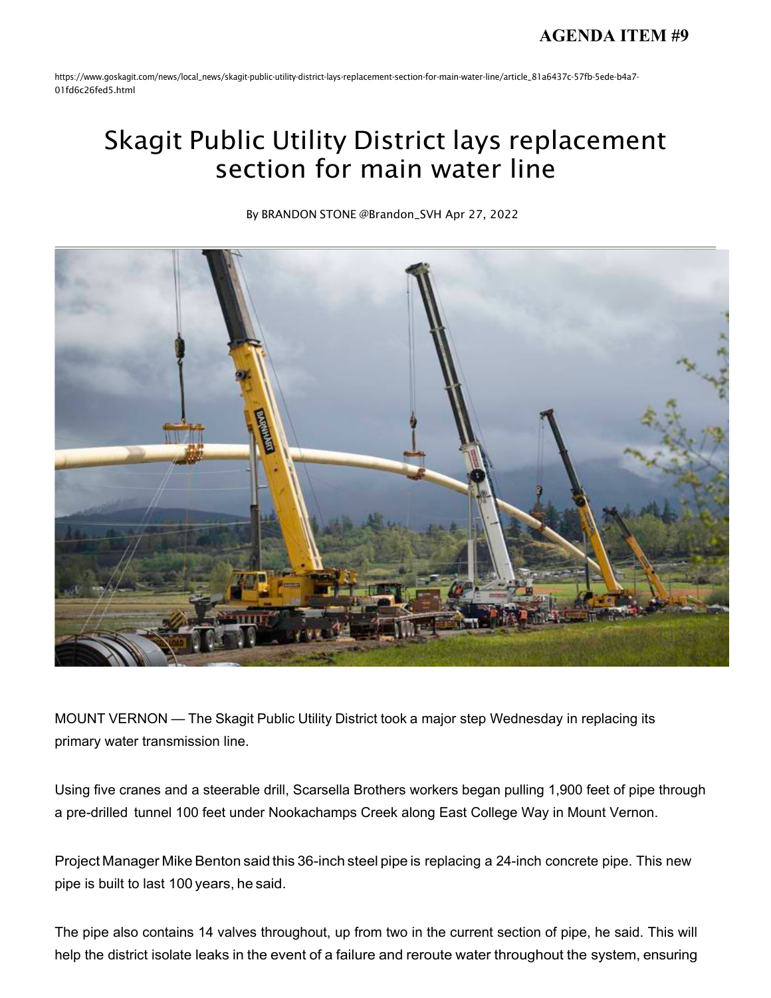https:/[/www.goskagit.com/news/local\\_news/skagit-public-utility-district-lays-r](http://www.goskagit.com/news/local_news/skagit-public-utility-district-lays-)eplacement-section-for-main-water-line/article\_81a6437c-57fb-5ede-b4a7- 01fd6c26fed5.html

# Skagit Public Utility District lays replacement section for main water line

By BRANDON STONE [@Brandon\\_SVH](https://www.goskagit.com/users/profile/bstone) Apr 27, 2022



MOUNT VERNON — The Skagit Public Utility District took a major step Wednesday in replacing its primary water transmission line.

Using five cranes and a steerable drill, Scarsella Brothers workers began pulling 1,900 feet of pipe through a pre-drilled tunnel 100 feet under Nookachamps Creek along East College Way in Mount Vernon.

Project Manager Mike Benton said this 36-inch steel pipe is replacing a 24-inch concrete pipe. This new pipe is built to last 100 years, he said.

The pipe also contains 14 valves throughout, up from two in the current section of pipe, he said. This will help the district isolate leaks in the event of a failure and reroute water throughout the system, ensuring